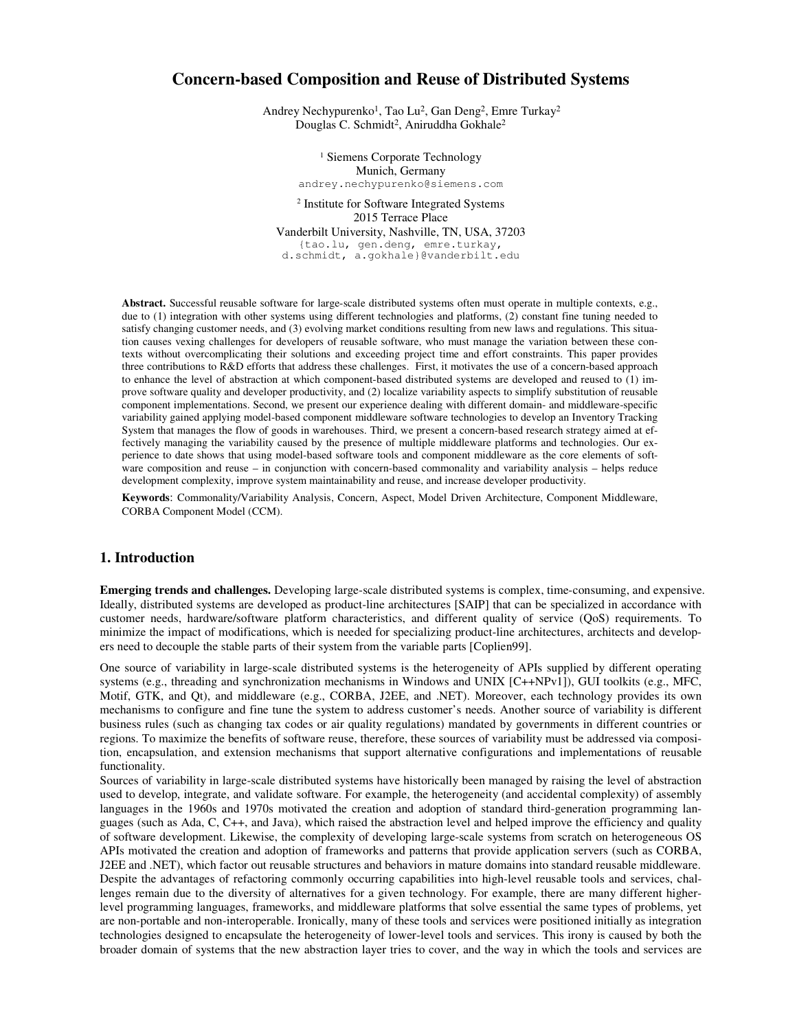## **Concern-based Composition and Reuse of Distributed Systems**

Andrey Nechypurenko<sup>1</sup>, Tao Lu<sup>2</sup>, Gan Deng<sup>2</sup>, Emre Turkay<sup>2</sup> Douglas C. Schmidt<sup>2</sup>, Aniruddha Gokhale<sup>2</sup>

> <sup>1</sup> Siemens Corporate Technology Munich, Germany andrey.nechypurenko@siemens.com

2 Institute for Software Integrated Systems 2015 Terrace Place Vanderbilt University, Nashville, TN, USA, 37203 {tao.lu, gen.deng, emre.turkay, d.schmidt, a.gokhale}@vanderbilt.edu

**Abstract.** Successful reusable software for large-scale distributed systems often must operate in multiple contexts, e.g., due to (1) integration with other systems using different technologies and platforms, (2) constant fine tuning needed to satisfy changing customer needs, and (3) evolving market conditions resulting from new laws and regulations. This situation causes vexing challenges for developers of reusable software, who must manage the variation between these contexts without overcomplicating their solutions and exceeding project time and effort constraints. This paper provides three contributions to R&D efforts that address these challenges. First, it motivates the use of a concern-based approach to enhance the level of abstraction at which component-based distributed systems are developed and reused to (1) improve software quality and developer productivity, and (2) localize variability aspects to simplify substitution of reusable component implementations. Second, we present our experience dealing with different domain- and middleware-specific variability gained applying model-based component middleware software technologies to develop an Inventory Tracking System that manages the flow of goods in warehouses. Third, we present a concern-based research strategy aimed at effectively managing the variability caused by the presence of multiple middleware platforms and technologies. Our experience to date shows that using model-based software tools and component middleware as the core elements of software composition and reuse – in conjunction with concern-based commonality and variability analysis – helps reduce development complexity, improve system maintainability and reuse, and increase developer productivity.

**Keywords**: Commonality/Variability Analysis, Concern, Aspect, Model Driven Architecture, Component Middleware, CORBA Component Model (CCM).

## **1. Introduction**

**Emerging trends and challenges.** Developing large-scale distributed systems is complex, time-consuming, and expensive. Ideally, distributed systems are developed as product-line architectures [SAIP] that can be specialized in accordance with customer needs, hardware/software platform characteristics, and different quality of service (QoS) requirements. To minimize the impact of modifications, which is needed for specializing product-line architectures, architects and developers need to decouple the stable parts of their system from the variable parts [Coplien99].

One source of variability in large-scale distributed systems is the heterogeneity of APIs supplied by different operating systems (e.g., threading and synchronization mechanisms in Windows and UNIX [C++NPv1]), GUI toolkits (e.g., MFC, Motif, GTK, and Qt), and middleware (e.g., CORBA, J2EE, and .NET). Moreover, each technology provides its own mechanisms to configure and fine tune the system to address customer's needs. Another source of variability is different business rules (such as changing tax codes or air quality regulations) mandated by governments in different countries or regions. To maximize the benefits of software reuse, therefore, these sources of variability must be addressed via composition, encapsulation, and extension mechanisms that support alternative configurations and implementations of reusable functionality.

Sources of variability in large-scale distributed systems have historically been managed by raising the level of abstraction used to develop, integrate, and validate software. For example, the heterogeneity (and accidental complexity) of assembly languages in the 1960s and 1970s motivated the creation and adoption of standard third-generation programming languages (such as Ada, C, C++, and Java), which raised the abstraction level and helped improve the efficiency and quality of software development. Likewise, the complexity of developing large-scale systems from scratch on heterogeneous OS APIs motivated the creation and adoption of frameworks and patterns that provide application servers (such as CORBA, J2EE and .NET), which factor out reusable structures and behaviors in mature domains into standard reusable middleware. Despite the advantages of refactoring commonly occurring capabilities into high-level reusable tools and services, challenges remain due to the diversity of alternatives for a given technology. For example, there are many different higherlevel programming languages, frameworks, and middleware platforms that solve essential the same types of problems, yet are non-portable and non-interoperable. Ironically, many of these tools and services were positioned initially as integration technologies designed to encapsulate the heterogeneity of lower-level tools and services. This irony is caused by both the broader domain of systems that the new abstraction layer tries to cover, and the way in which the tools and services are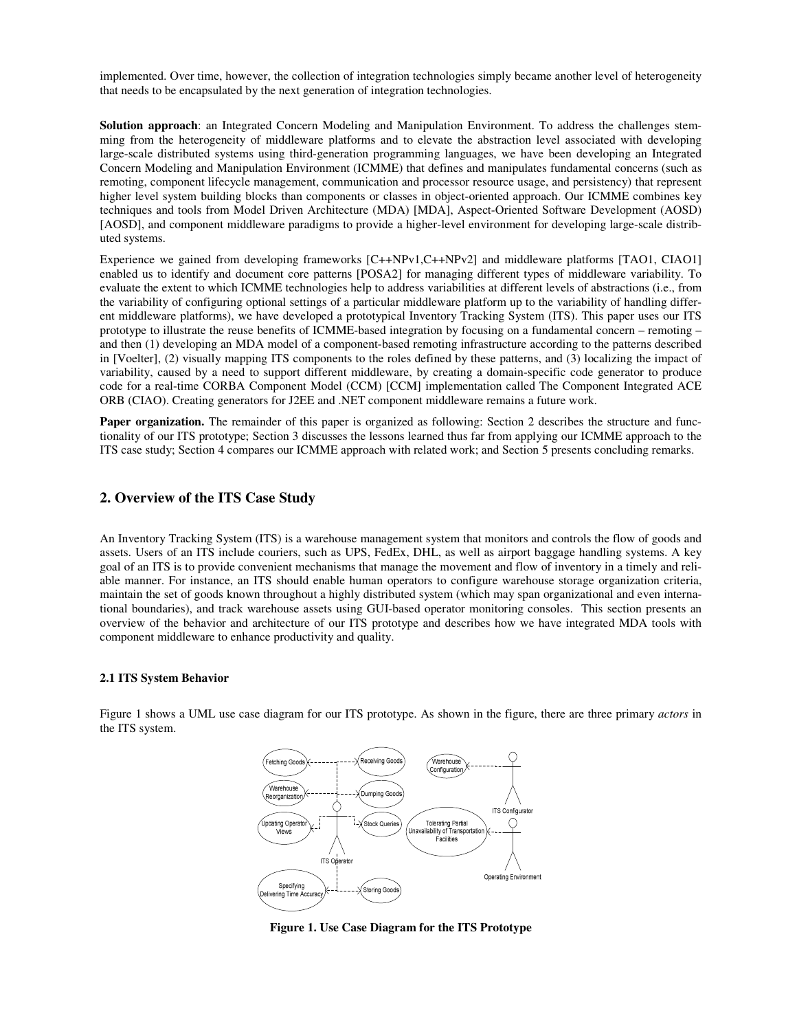implemented. Over time, however, the collection of integration technologies simply became another level of heterogeneity that needs to be encapsulated by the next generation of integration technologies.

**Solution approach**: an Integrated Concern Modeling and Manipulation Environment. To address the challenges stemming from the heterogeneity of middleware platforms and to elevate the abstraction level associated with developing large-scale distributed systems using third-generation programming languages, we have been developing an Integrated Concern Modeling and Manipulation Environment (ICMME) that defines and manipulates fundamental concerns (such as remoting, component lifecycle management, communication and processor resource usage, and persistency) that represent higher level system building blocks than components or classes in object-oriented approach. Our ICMME combines key techniques and tools from Model Driven Architecture (MDA) [MDA], Aspect-Oriented Software Development (AOSD) [AOSD], and component middleware paradigms to provide a higher-level environment for developing large-scale distributed systems.

Experience we gained from developing frameworks [C++NPv1,C++NPv2] and middleware platforms [TAO1, CIAO1] enabled us to identify and document core patterns [POSA2] for managing different types of middleware variability. To evaluate the extent to which ICMME technologies help to address variabilities at different levels of abstractions (i.e., from the variability of configuring optional settings of a particular middleware platform up to the variability of handling different middleware platforms), we have developed a prototypical Inventory Tracking System (ITS). This paper uses our ITS prototype to illustrate the reuse benefits of ICMME-based integration by focusing on a fundamental concern – remoting – and then (1) developing an MDA model of a component-based remoting infrastructure according to the patterns described in [Voelter], (2) visually mapping ITS components to the roles defined by these patterns, and (3) localizing the impact of variability, caused by a need to support different middleware, by creating a domain-specific code generator to produce code for a real-time CORBA Component Model (CCM) [CCM] implementation called The Component Integrated ACE ORB (CIAO). Creating generators for J2EE and .NET component middleware remains a future work.

**Paper organization.** The remainder of this paper is organized as following: Section 2 describes the structure and functionality of our ITS prototype; Section 3 discusses the lessons learned thus far from applying our ICMME approach to the ITS case study; Section 4 compares our ICMME approach with related work; and Section 5 presents concluding remarks.

## **2. Overview of the ITS Case Study**

An Inventory Tracking System (ITS) is a warehouse management system that monitors and controls the flow of goods and assets. Users of an ITS include couriers, such as UPS, FedEx, DHL, as well as airport baggage handling systems. A key goal of an ITS is to provide convenient mechanisms that manage the movement and flow of inventory in a timely and reliable manner. For instance, an ITS should enable human operators to configure warehouse storage organization criteria, maintain the set of goods known throughout a highly distributed system (which may span organizational and even international boundaries), and track warehouse assets using GUI-based operator monitoring consoles. This section presents an overview of the behavior and architecture of our ITS prototype and describes how we have integrated MDA tools with component middleware to enhance productivity and quality.

#### **2.1 ITS System Behavior**

Figure 1 shows a UML use case diagram for our ITS prototype. As shown in the figure, there are three primary *actors* in the ITS system.



**Figure 1. Use Case Diagram for the ITS Prototype**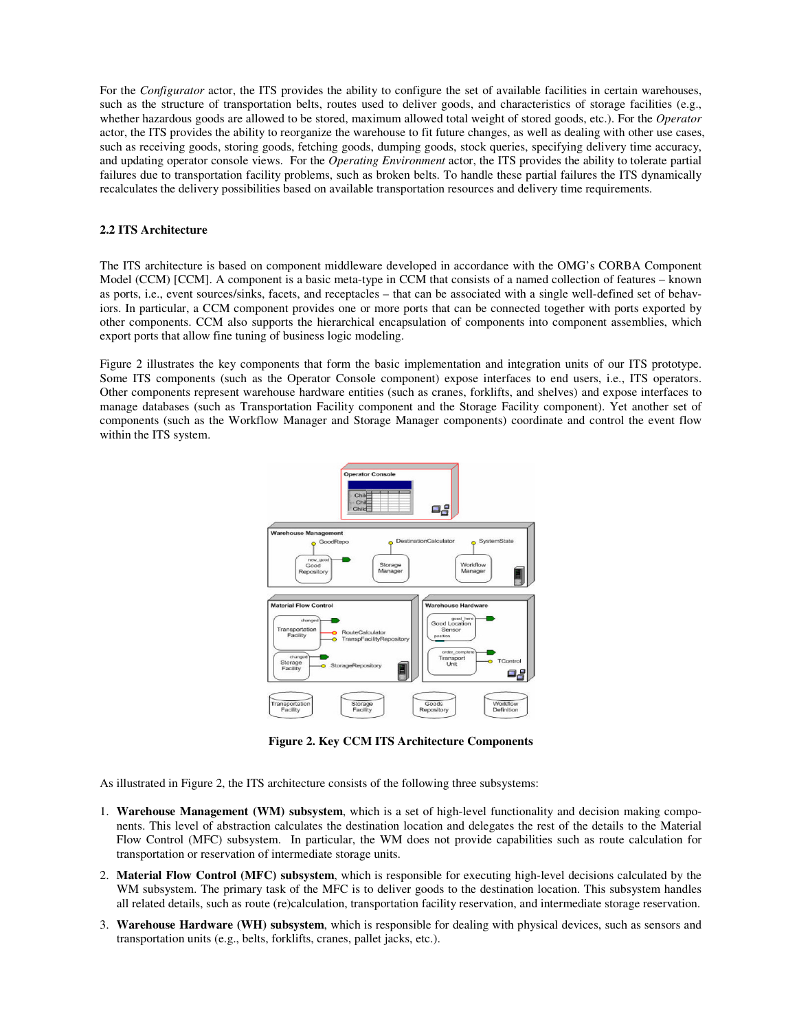For the *Configurator* actor, the ITS provides the ability to configure the set of available facilities in certain warehouses, such as the structure of transportation belts, routes used to deliver goods, and characteristics of storage facilities (e.g., whether hazardous goods are allowed to be stored, maximum allowed total weight of stored goods, etc.). For the *Operator* actor, the ITS provides the ability to reorganize the warehouse to fit future changes, as well as dealing with other use cases, such as receiving goods, storing goods, fetching goods, dumping goods, stock queries, specifying delivery time accuracy, and updating operator console views. For the *Operating Environment* actor, the ITS provides the ability to tolerate partial failures due to transportation facility problems, such as broken belts. To handle these partial failures the ITS dynamically recalculates the delivery possibilities based on available transportation resources and delivery time requirements.

### **2.2 ITS Architecture**

The ITS architecture is based on component middleware developed in accordance with the OMG's CORBA Component Model (CCM) [CCM]. A component is a basic meta-type in CCM that consists of a named collection of features – known as ports, i.e., event sources/sinks, facets, and receptacles – that can be associated with a single well-defined set of behaviors. In particular, a CCM component provides one or more ports that can be connected together with ports exported by other components. CCM also supports the hierarchical encapsulation of components into component assemblies, which export ports that allow fine tuning of business logic modeling.

Figure 2 illustrates the key components that form the basic implementation and integration units of our ITS prototype. Some ITS components (such as the Operator Console component) expose interfaces to end users, i.e., ITS operators. Other components represent warehouse hardware entities (such as cranes, forklifts, and shelves) and expose interfaces to manage databases (such as Transportation Facility component and the Storage Facility component). Yet another set of components (such as the Workflow Manager and Storage Manager components) coordinate and control the event flow within the ITS system.



**Figure 2. Key CCM ITS Architecture Components**

As illustrated in Figure 2, the ITS architecture consists of the following three subsystems:

- 1. **Warehouse Management (WM) subsystem**, which is a set of high-level functionality and decision making components. This level of abstraction calculates the destination location and delegates the rest of the details to the Material Flow Control (MFC) subsystem. In particular, the WM does not provide capabilities such as route calculation for transportation or reservation of intermediate storage units.
- 2. **Material Flow Control (MFC) subsystem**, which is responsible for executing high-level decisions calculated by the WM subsystem. The primary task of the MFC is to deliver goods to the destination location. This subsystem handles all related details, such as route (re)calculation, transportation facility reservation, and intermediate storage reservation.
- 3. **Warehouse Hardware (WH) subsystem**, which is responsible for dealing with physical devices, such as sensors and transportation units (e.g., belts, forklifts, cranes, pallet jacks, etc.).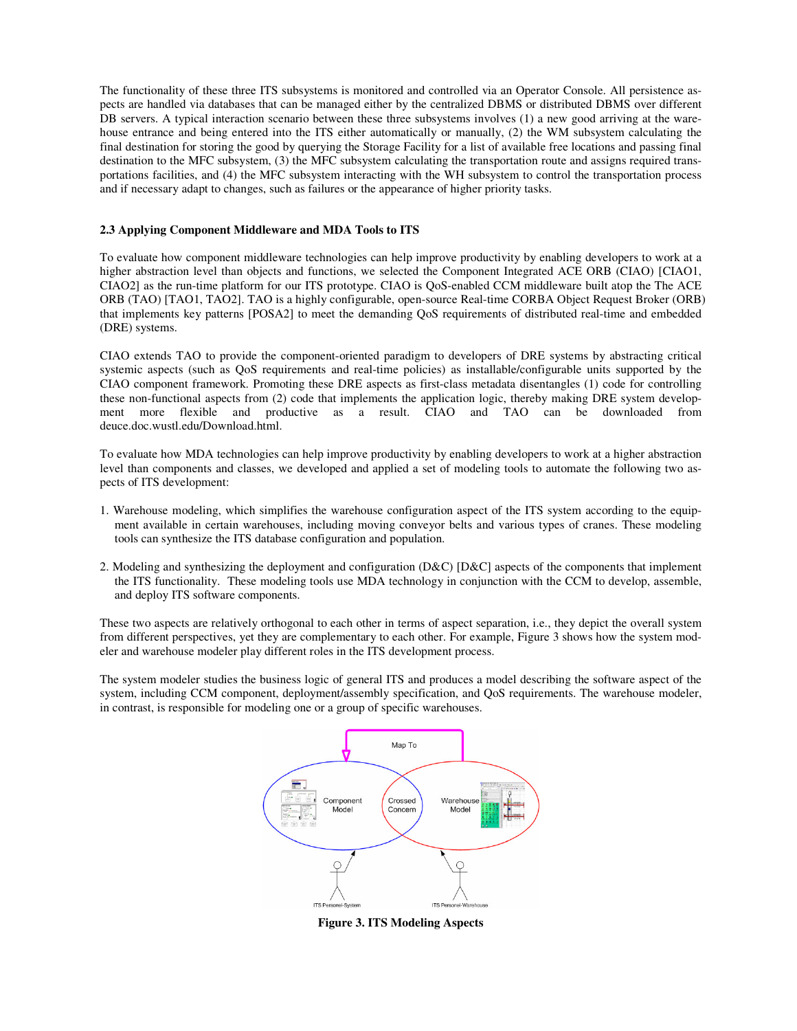The functionality of these three ITS subsystems is monitored and controlled via an Operator Console. All persistence aspects are handled via databases that can be managed either by the centralized DBMS or distributed DBMS over different DB servers. A typical interaction scenario between these three subsystems involves (1) a new good arriving at the warehouse entrance and being entered into the ITS either automatically or manually, (2) the WM subsystem calculating the final destination for storing the good by querying the Storage Facility for a list of available free locations and passing final destination to the MFC subsystem, (3) the MFC subsystem calculating the transportation route and assigns required transportations facilities, and (4) the MFC subsystem interacting with the WH subsystem to control the transportation process and if necessary adapt to changes, such as failures or the appearance of higher priority tasks.

### **2.3 Applying Component Middleware and MDA Tools to ITS**

To evaluate how component middleware technologies can help improve productivity by enabling developers to work at a higher abstraction level than objects and functions, we selected the Component Integrated ACE ORB (CIAO) [CIAO1, CIAO2] as the run-time platform for our ITS prototype. CIAO is QoS-enabled CCM middleware built atop the The ACE ORB (TAO) [TAO1, TAO2]. TAO is a highly configurable, open-source Real-time CORBA Object Request Broker (ORB) that implements key patterns [POSA2] to meet the demanding QoS requirements of distributed real-time and embedded (DRE) systems.

CIAO extends TAO to provide the component-oriented paradigm to developers of DRE systems by abstracting critical systemic aspects (such as QoS requirements and real-time policies) as installable/configurable units supported by the CIAO component framework. Promoting these DRE aspects as first-class metadata disentangles (1) code for controlling these non-functional aspects from (2) code that implements the application logic, thereby making DRE system development more flexible and productive as a result. CIAO and TAO can be downloaded from deuce.doc.wustl.edu/Download.html.

To evaluate how MDA technologies can help improve productivity by enabling developers to work at a higher abstraction level than components and classes, we developed and applied a set of modeling tools to automate the following two aspects of ITS development:

- 1. Warehouse modeling, which simplifies the warehouse configuration aspect of the ITS system according to the equipment available in certain warehouses, including moving conveyor belts and various types of cranes. These modeling tools can synthesize the ITS database configuration and population.
- 2. Modeling and synthesizing the deployment and configuration (D&C) [D&C] aspects of the components that implement the ITS functionality. These modeling tools use MDA technology in conjunction with the CCM to develop, assemble, and deploy ITS software components.

These two aspects are relatively orthogonal to each other in terms of aspect separation, i.e., they depict the overall system from different perspectives, yet they are complementary to each other. For example, Figure 3 shows how the system modeler and warehouse modeler play different roles in the ITS development process.

The system modeler studies the business logic of general ITS and produces a model describing the software aspect of the system, including CCM component, deployment/assembly specification, and QoS requirements. The warehouse modeler, in contrast, is responsible for modeling one or a group of specific warehouses.



**Figure 3. ITS Modeling Aspects**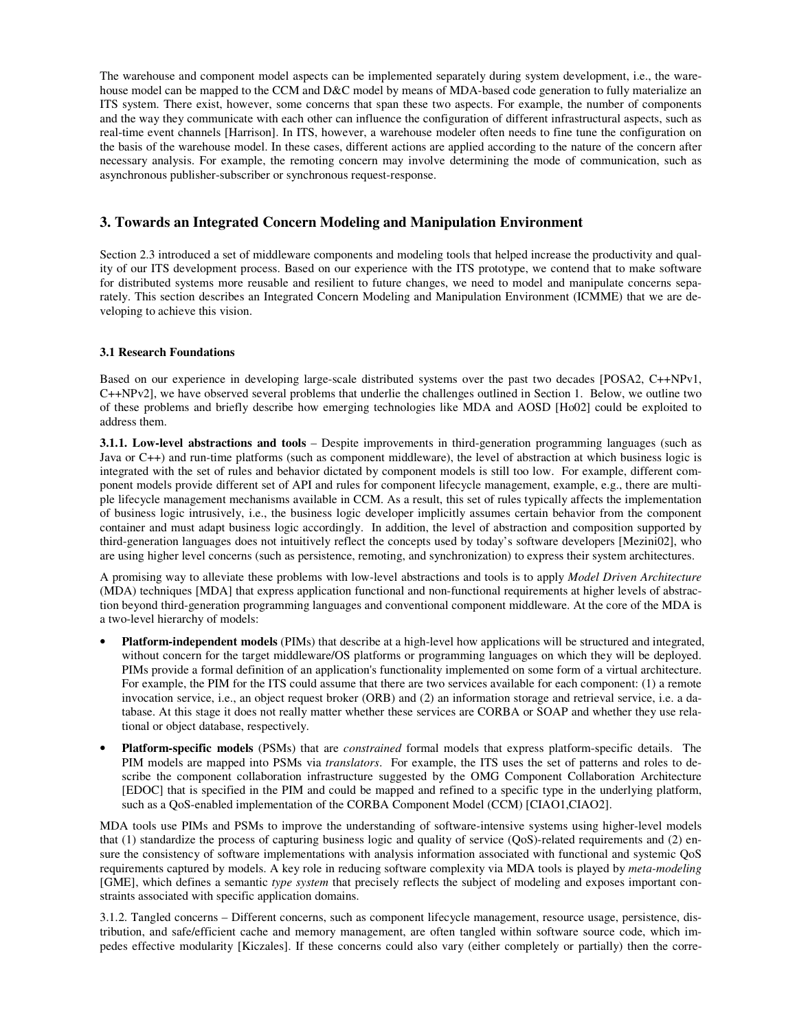The warehouse and component model aspects can be implemented separately during system development, i.e., the warehouse model can be mapped to the CCM and D&C model by means of MDA-based code generation to fully materialize an ITS system. There exist, however, some concerns that span these two aspects. For example, the number of components and the way they communicate with each other can influence the configuration of different infrastructural aspects, such as real-time event channels [Harrison]. In ITS, however, a warehouse modeler often needs to fine tune the configuration on the basis of the warehouse model. In these cases, different actions are applied according to the nature of the concern after necessary analysis. For example, the remoting concern may involve determining the mode of communication, such as asynchronous publisher-subscriber or synchronous request-response.

## **3. Towards an Integrated Concern Modeling and Manipulation Environment**

Section 2.3 introduced a set of middleware components and modeling tools that helped increase the productivity and quality of our ITS development process. Based on our experience with the ITS prototype, we contend that to make software for distributed systems more reusable and resilient to future changes, we need to model and manipulate concerns separately. This section describes an Integrated Concern Modeling and Manipulation Environment (ICMME) that we are developing to achieve this vision.

## **3.1 Research Foundations**

Based on our experience in developing large-scale distributed systems over the past two decades [POSA2, C++NPv1, C++NPv2], we have observed several problems that underlie the challenges outlined in Section 1. Below, we outline two of these problems and briefly describe how emerging technologies like MDA and AOSD [Ho02] could be exploited to address them.

**3.1.1. Low-level abstractions and tools** – Despite improvements in third-generation programming languages (such as Java or C++) and run-time platforms (such as component middleware), the level of abstraction at which business logic is integrated with the set of rules and behavior dictated by component models is still too low. For example, different component models provide different set of API and rules for component lifecycle management, example, e.g., there are multiple lifecycle management mechanisms available in CCM. As a result, this set of rules typically affects the implementation of business logic intrusively, i.e., the business logic developer implicitly assumes certain behavior from the component container and must adapt business logic accordingly. In addition, the level of abstraction and composition supported by third-generation languages does not intuitively reflect the concepts used by today's software developers [Mezini02], who are using higher level concerns (such as persistence, remoting, and synchronization) to express their system architectures.

A promising way to alleviate these problems with low-level abstractions and tools is to apply *Model Driven Architecture* (MDA) techniques [MDA] that express application functional and non-functional requirements at higher levels of abstraction beyond third-generation programming languages and conventional component middleware. At the core of the MDA is a two-level hierarchy of models:

- **Platform-independent models** (PIMs) that describe at a high-level how applications will be structured and integrated, without concern for the target middleware/OS platforms or programming languages on which they will be deployed. PIMs provide a formal definition of an application's functionality implemented on some form of a virtual architecture. For example, the PIM for the ITS could assume that there are two services available for each component: (1) a remote invocation service, i.e., an object request broker (ORB) and (2) an information storage and retrieval service, i.e. a database. At this stage it does not really matter whether these services are CORBA or SOAP and whether they use relational or object database, respectively.
- **Platform-specific models** (PSMs) that are *constrained* formal models that express platform-specific details. The PIM models are mapped into PSMs via *translators*. For example, the ITS uses the set of patterns and roles to describe the component collaboration infrastructure suggested by the OMG Component Collaboration Architecture [EDOC] that is specified in the PIM and could be mapped and refined to a specific type in the underlying platform, such as a QoS-enabled implementation of the CORBA Component Model (CCM) [CIAO1,CIAO2].

MDA tools use PIMs and PSMs to improve the understanding of software-intensive systems using higher-level models that (1) standardize the process of capturing business logic and quality of service (QoS)-related requirements and (2) ensure the consistency of software implementations with analysis information associated with functional and systemic QoS requirements captured by models. A key role in reducing software complexity via MDA tools is played by *meta-modeling* [GME], which defines a semantic *type system* that precisely reflects the subject of modeling and exposes important constraints associated with specific application domains.

3.1.2. Tangled concerns – Different concerns, such as component lifecycle management, resource usage, persistence, distribution, and safe/efficient cache and memory management, are often tangled within software source code, which impedes effective modularity [Kiczales]. If these concerns could also vary (either completely or partially) then the corre-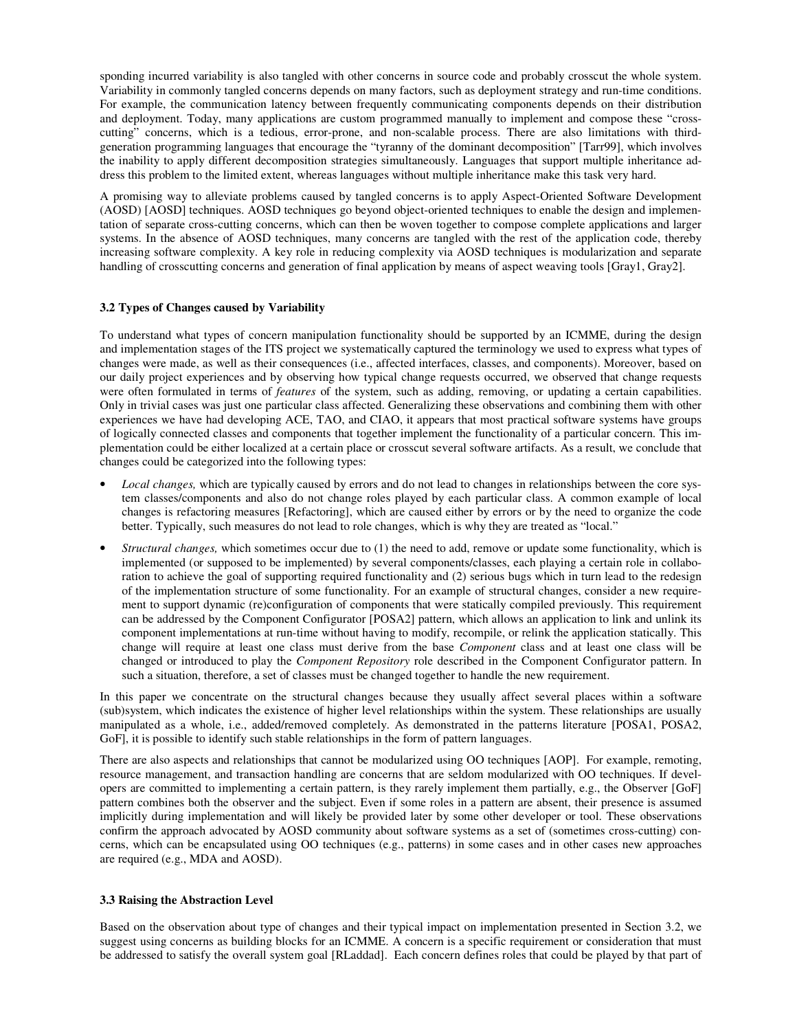sponding incurred variability is also tangled with other concerns in source code and probably crosscut the whole system. Variability in commonly tangled concerns depends on many factors, such as deployment strategy and run-time conditions. For example, the communication latency between frequently communicating components depends on their distribution and deployment. Today, many applications are custom programmed manually to implement and compose these "crosscutting" concerns, which is a tedious, error-prone, and non-scalable process. There are also limitations with thirdgeneration programming languages that encourage the "tyranny of the dominant decomposition" [Tarr99], which involves the inability to apply different decomposition strategies simultaneously. Languages that support multiple inheritance address this problem to the limited extent, whereas languages without multiple inheritance make this task very hard.

A promising way to alleviate problems caused by tangled concerns is to apply Aspect-Oriented Software Development (AOSD) [AOSD] techniques. AOSD techniques go beyond object-oriented techniques to enable the design and implementation of separate cross-cutting concerns, which can then be woven together to compose complete applications and larger systems. In the absence of AOSD techniques, many concerns are tangled with the rest of the application code, thereby increasing software complexity. A key role in reducing complexity via AOSD techniques is modularization and separate handling of crosscutting concerns and generation of final application by means of aspect weaving tools [Gray1, Gray2].

### **3.2 Types of Changes caused by Variability**

To understand what types of concern manipulation functionality should be supported by an ICMME, during the design and implementation stages of the ITS project we systematically captured the terminology we used to express what types of changes were made, as well as their consequences (i.e., affected interfaces, classes, and components). Moreover, based on our daily project experiences and by observing how typical change requests occurred, we observed that change requests were often formulated in terms of *features* of the system, such as adding, removing, or updating a certain capabilities. Only in trivial cases was just one particular class affected. Generalizing these observations and combining them with other experiences we have had developing ACE, TAO, and CIAO, it appears that most practical software systems have groups of logically connected classes and components that together implement the functionality of a particular concern. This implementation could be either localized at a certain place or crosscut several software artifacts. As a result, we conclude that changes could be categorized into the following types:

- *Local changes,* which are typically caused by errors and do not lead to changes in relationships between the core system classes/components and also do not change roles played by each particular class. A common example of local changes is refactoring measures [Refactoring], which are caused either by errors or by the need to organize the code better. Typically, such measures do not lead to role changes, which is why they are treated as "local."
- *Structural changes,* which sometimes occur due to (1) the need to add, remove or update some functionality, which is implemented (or supposed to be implemented) by several components/classes, each playing a certain role in collaboration to achieve the goal of supporting required functionality and (2) serious bugs which in turn lead to the redesign of the implementation structure of some functionality. For an example of structural changes, consider a new requirement to support dynamic (re)configuration of components that were statically compiled previously. This requirement can be addressed by the Component Configurator [POSA2] pattern, which allows an application to link and unlink its component implementations at run-time without having to modify, recompile, or relink the application statically. This change will require at least one class must derive from the base *Component* class and at least one class will be changed or introduced to play the *Component Repository* role described in the Component Configurator pattern. In such a situation, therefore, a set of classes must be changed together to handle the new requirement.

In this paper we concentrate on the structural changes because they usually affect several places within a software (sub)system, which indicates the existence of higher level relationships within the system. These relationships are usually manipulated as a whole, i.e., added/removed completely. As demonstrated in the patterns literature [POSA1, POSA2, GoF], it is possible to identify such stable relationships in the form of pattern languages.

There are also aspects and relationships that cannot be modularized using OO techniques [AOP]. For example, remoting, resource management, and transaction handling are concerns that are seldom modularized with OO techniques. If developers are committed to implementing a certain pattern, is they rarely implement them partially, e.g., the Observer [GoF] pattern combines both the observer and the subject. Even if some roles in a pattern are absent, their presence is assumed implicitly during implementation and will likely be provided later by some other developer or tool. These observations confirm the approach advocated by AOSD community about software systems as a set of (sometimes cross-cutting) concerns, which can be encapsulated using OO techniques (e.g., patterns) in some cases and in other cases new approaches are required (e.g., MDA and AOSD).

### **3.3 Raising the Abstraction Level**

Based on the observation about type of changes and their typical impact on implementation presented in Section 3.2, we suggest using concerns as building blocks for an ICMME. A concern is a specific requirement or consideration that must be addressed to satisfy the overall system goal [RLaddad]. Each concern defines roles that could be played by that part of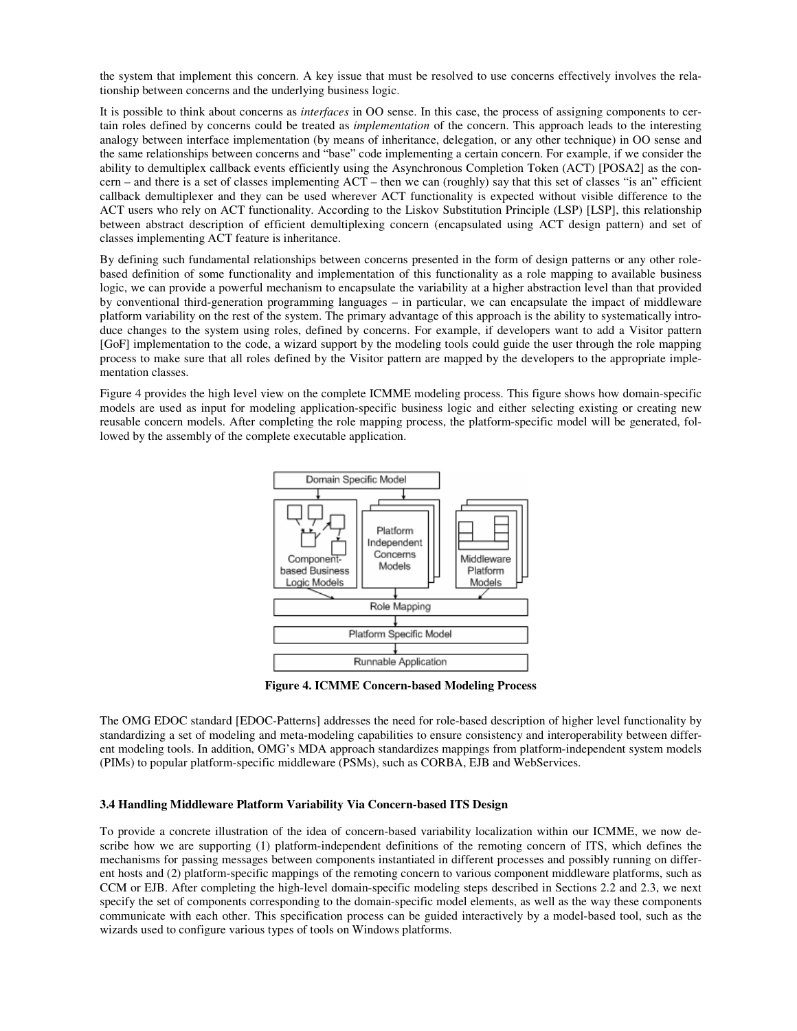the system that implement this concern. A key issue that must be resolved to use concerns effectively involves the relationship between concerns and the underlying business logic.

It is possible to think about concerns as *interfaces* in OO sense. In this case, the process of assigning components to certain roles defined by concerns could be treated as *implementation* of the concern. This approach leads to the interesting analogy between interface implementation (by means of inheritance, delegation, or any other technique) in OO sense and the same relationships between concerns and "base" code implementing a certain concern. For example, if we consider the ability to demultiplex callback events efficiently using the Asynchronous Completion Token (ACT) [POSA2] as the concern – and there is a set of classes implementing ACT – then we can (roughly) say that this set of classes "is an" efficient callback demultiplexer and they can be used wherever ACT functionality is expected without visible difference to the ACT users who rely on ACT functionality. According to the Liskov Substitution Principle (LSP) [LSP], this relationship between abstract description of efficient demultiplexing concern (encapsulated using ACT design pattern) and set of classes implementing ACT feature is inheritance.

By defining such fundamental relationships between concerns presented in the form of design patterns or any other rolebased definition of some functionality and implementation of this functionality as a role mapping to available business logic, we can provide a powerful mechanism to encapsulate the variability at a higher abstraction level than that provided by conventional third-generation programming languages – in particular, we can encapsulate the impact of middleware platform variability on the rest of the system. The primary advantage of this approach is the ability to systematically introduce changes to the system using roles, defined by concerns. For example, if developers want to add a Visitor pattern [GoF] implementation to the code, a wizard support by the modeling tools could guide the user through the role mapping process to make sure that all roles defined by the Visitor pattern are mapped by the developers to the appropriate implementation classes.

Figure 4 provides the high level view on the complete ICMME modeling process. This figure shows how domain-specific models are used as input for modeling application-specific business logic and either selecting existing or creating new reusable concern models. After completing the role mapping process, the platform-specific model will be generated, followed by the assembly of the complete executable application.



**Figure 4. ICMME Concern-based Modeling Process**

The OMG EDOC standard [EDOC-Patterns] addresses the need for role-based description of higher level functionality by standardizing a set of modeling and meta-modeling capabilities to ensure consistency and interoperability between different modeling tools. In addition, OMG's MDA approach standardizes mappings from platform-independent system models (PIMs) to popular platform-specific middleware (PSMs), such as CORBA, EJB and WebServices.

### **3.4 Handling Middleware Platform Variability Via Concern-based ITS Design**

To provide a concrete illustration of the idea of concern-based variability localization within our ICMME, we now describe how we are supporting (1) platform-independent definitions of the remoting concern of ITS, which defines the mechanisms for passing messages between components instantiated in different processes and possibly running on different hosts and (2) platform-specific mappings of the remoting concern to various component middleware platforms, such as CCM or EJB. After completing the high-level domain-specific modeling steps described in Sections 2.2 and 2.3, we next specify the set of components corresponding to the domain-specific model elements, as well as the way these components communicate with each other. This specification process can be guided interactively by a model-based tool, such as the wizards used to configure various types of tools on Windows platforms.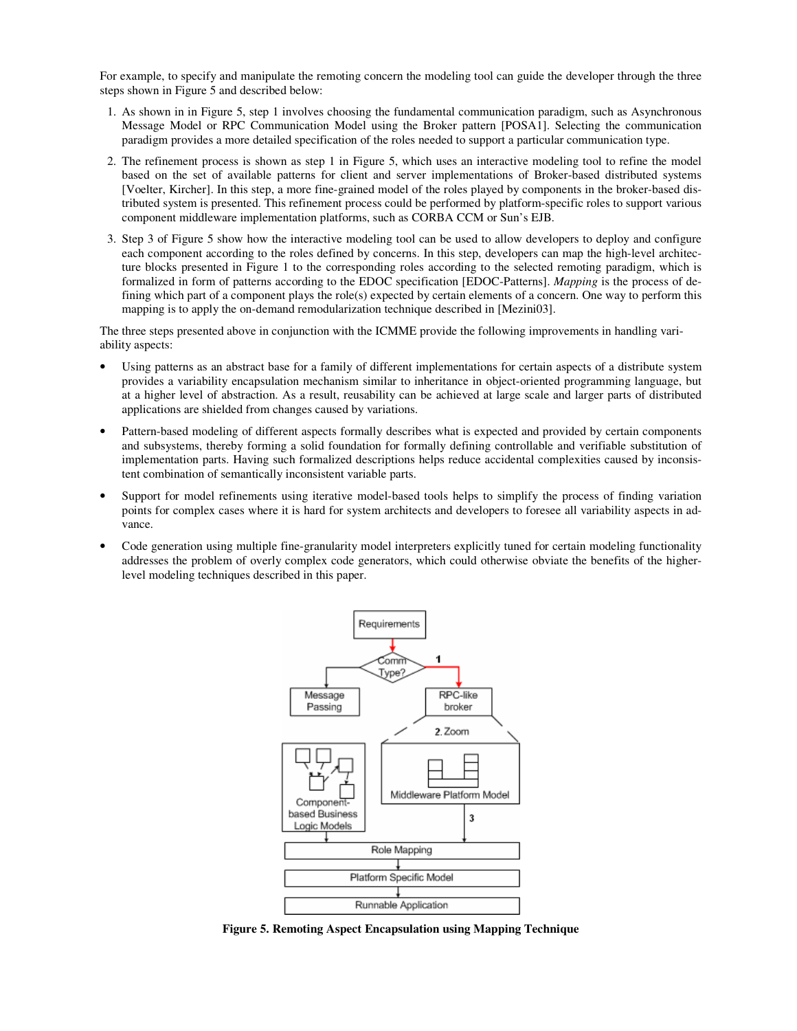For example, to specify and manipulate the remoting concern the modeling tool can guide the developer through the three steps shown in Figure 5 and described below:

- 1. As shown in in Figure 5, step 1 involves choosing the fundamental communication paradigm, such as Asynchronous Message Model or RPC Communication Model using the Broker pattern [POSA1]. Selecting the communication paradigm provides a more detailed specification of the roles needed to support a particular communication type.
- 2. The refinement process is shown as step 1 in Figure 5, which uses an interactive modeling tool to refine the model based on the set of available patterns for client and server implementations of Broker-based distributed systems [Voelter, Kircher]. In this step, a more fine-grained model of the roles played by components in the broker-based distributed system is presented. This refinement process could be performed by platform-specific roles to support various component middleware implementation platforms, such as CORBA CCM or Sun's EJB.
- 3. Step 3 of Figure 5 show how the interactive modeling tool can be used to allow developers to deploy and configure each component according to the roles defined by concerns. In this step, developers can map the high-level architecture blocks presented in Figure 1 to the corresponding roles according to the selected remoting paradigm, which is formalized in form of patterns according to the EDOC specification [EDOC-Patterns]. *Mapping* is the process of defining which part of a component plays the role(s) expected by certain elements of a concern. One way to perform this mapping is to apply the on-demand remodularization technique described in [Mezini03].

The three steps presented above in conjunction with the ICMME provide the following improvements in handling variability aspects:

- Using patterns as an abstract base for a family of different implementations for certain aspects of a distribute system provides a variability encapsulation mechanism similar to inheritance in object-oriented programming language, but at a higher level of abstraction. As a result, reusability can be achieved at large scale and larger parts of distributed applications are shielded from changes caused by variations.
- Pattern-based modeling of different aspects formally describes what is expected and provided by certain components and subsystems, thereby forming a solid foundation for formally defining controllable and verifiable substitution of implementation parts. Having such formalized descriptions helps reduce accidental complexities caused by inconsistent combination of semantically inconsistent variable parts.
- Support for model refinements using iterative model-based tools helps to simplify the process of finding variation points for complex cases where it is hard for system architects and developers to foresee all variability aspects in advance.
- Code generation using multiple fine-granularity model interpreters explicitly tuned for certain modeling functionality addresses the problem of overly complex code generators, which could otherwise obviate the benefits of the higherlevel modeling techniques described in this paper.



**Figure 5. Remoting Aspect Encapsulation using Mapping Technique**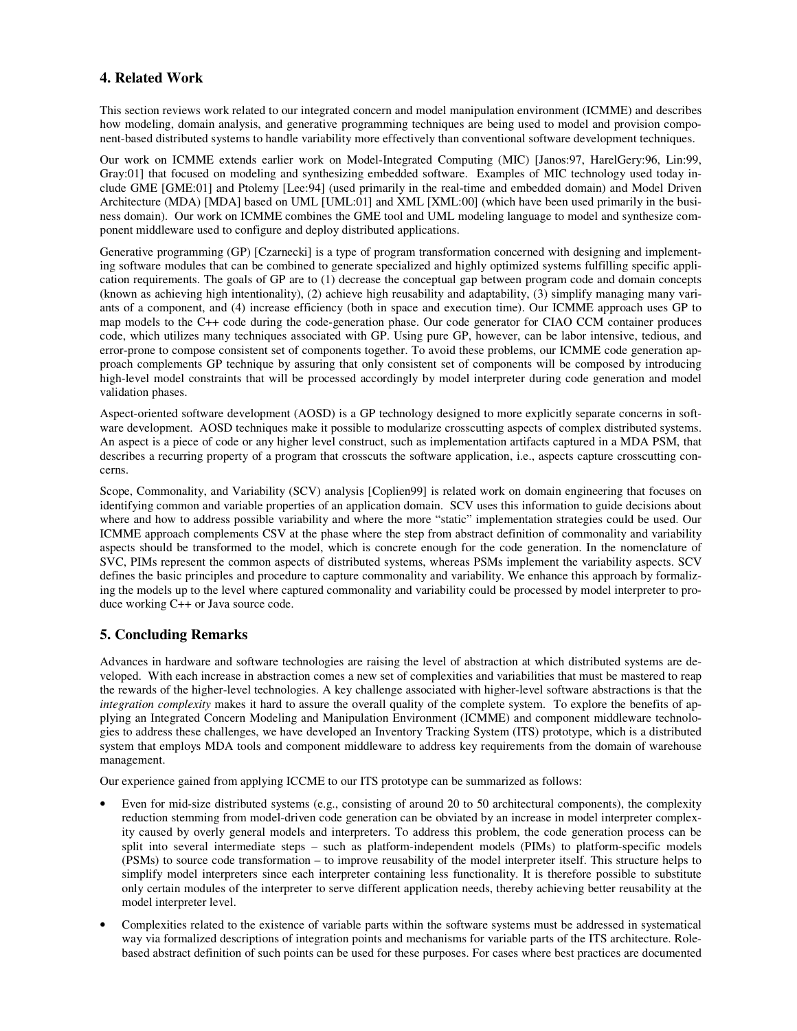# **4. Related Work**

This section reviews work related to our integrated concern and model manipulation environment (ICMME) and describes how modeling, domain analysis, and generative programming techniques are being used to model and provision component-based distributed systems to handle variability more effectively than conventional software development techniques.

Our work on ICMME extends earlier work on Model-Integrated Computing (MIC) [Janos:97, HarelGery:96, Lin:99, Gray:01] that focused on modeling and synthesizing embedded software. Examples of MIC technology used today include GME [GME:01] and Ptolemy [Lee:94] (used primarily in the real-time and embedded domain) and Model Driven Architecture (MDA) [MDA] based on UML [UML:01] and XML [XML:00] (which have been used primarily in the business domain). Our work on ICMME combines the GME tool and UML modeling language to model and synthesize component middleware used to configure and deploy distributed applications.

Generative programming (GP) [Czarnecki] is a type of program transformation concerned with designing and implementing software modules that can be combined to generate specialized and highly optimized systems fulfilling specific application requirements. The goals of GP are to (1) decrease the conceptual gap between program code and domain concepts (known as achieving high intentionality), (2) achieve high reusability and adaptability, (3) simplify managing many variants of a component, and (4) increase efficiency (both in space and execution time). Our ICMME approach uses GP to map models to the C++ code during the code-generation phase. Our code generator for CIAO CCM container produces code, which utilizes many techniques associated with GP. Using pure GP, however, can be labor intensive, tedious, and error-prone to compose consistent set of components together. To avoid these problems, our ICMME code generation approach complements GP technique by assuring that only consistent set of components will be composed by introducing high-level model constraints that will be processed accordingly by model interpreter during code generation and model validation phases.

Aspect-oriented software development (AOSD) is a GP technology designed to more explicitly separate concerns in software development. AOSD techniques make it possible to modularize crosscutting aspects of complex distributed systems. An aspect is a piece of code or any higher level construct, such as implementation artifacts captured in a MDA PSM, that describes a recurring property of a program that crosscuts the software application, i.e., aspects capture crosscutting concerns.

Scope, Commonality, and Variability (SCV) analysis [Coplien99] is related work on domain engineering that focuses on identifying common and variable properties of an application domain. SCV uses this information to guide decisions about where and how to address possible variability and where the more "static" implementation strategies could be used. Our ICMME approach complements CSV at the phase where the step from abstract definition of commonality and variability aspects should be transformed to the model, which is concrete enough for the code generation. In the nomenclature of SVC, PIMs represent the common aspects of distributed systems, whereas PSMs implement the variability aspects. SCV defines the basic principles and procedure to capture commonality and variability. We enhance this approach by formalizing the models up to the level where captured commonality and variability could be processed by model interpreter to produce working C++ or Java source code.

## **5. Concluding Remarks**

Advances in hardware and software technologies are raising the level of abstraction at which distributed systems are developed. With each increase in abstraction comes a new set of complexities and variabilities that must be mastered to reap the rewards of the higher-level technologies. A key challenge associated with higher-level software abstractions is that the *integration complexity* makes it hard to assure the overall quality of the complete system. To explore the benefits of applying an Integrated Concern Modeling and Manipulation Environment (ICMME) and component middleware technologies to address these challenges, we have developed an Inventory Tracking System (ITS) prototype, which is a distributed system that employs MDA tools and component middleware to address key requirements from the domain of warehouse management.

Our experience gained from applying ICCME to our ITS prototype can be summarized as follows:

- Even for mid-size distributed systems (e.g., consisting of around 20 to 50 architectural components), the complexity reduction stemming from model-driven code generation can be obviated by an increase in model interpreter complexity caused by overly general models and interpreters. To address this problem, the code generation process can be split into several intermediate steps – such as platform-independent models (PIMs) to platform-specific models (PSMs) to source code transformation – to improve reusability of the model interpreter itself. This structure helps to simplify model interpreters since each interpreter containing less functionality. It is therefore possible to substitute only certain modules of the interpreter to serve different application needs, thereby achieving better reusability at the model interpreter level.
- Complexities related to the existence of variable parts within the software systems must be addressed in systematical way via formalized descriptions of integration points and mechanisms for variable parts of the ITS architecture. Rolebased abstract definition of such points can be used for these purposes. For cases where best practices are documented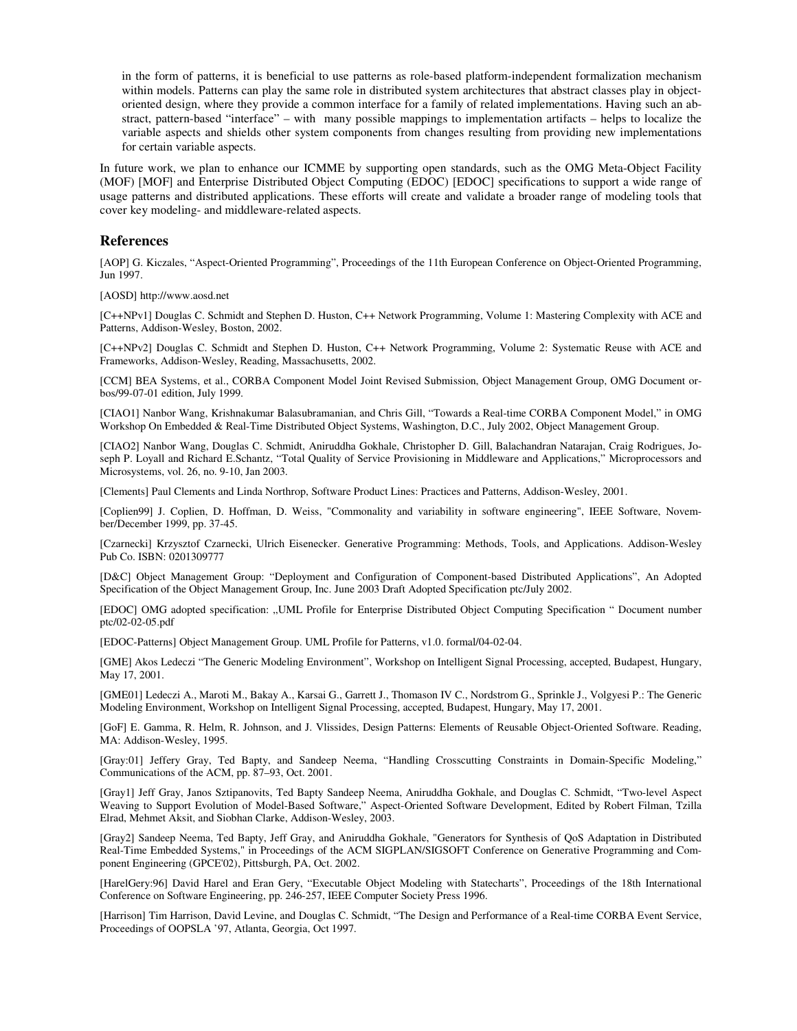in the form of patterns, it is beneficial to use patterns as role-based platform-independent formalization mechanism within models. Patterns can play the same role in distributed system architectures that abstract classes play in objectoriented design, where they provide a common interface for a family of related implementations. Having such an abstract, pattern-based "interface" – with many possible mappings to implementation artifacts – helps to localize the variable aspects and shields other system components from changes resulting from providing new implementations for certain variable aspects.

In future work, we plan to enhance our ICMME by supporting open standards, such as the OMG Meta-Object Facility (MOF) [MOF] and Enterprise Distributed Object Computing (EDOC) [EDOC] specifications to support a wide range of usage patterns and distributed applications. These efforts will create and validate a broader range of modeling tools that cover key modeling- and middleware-related aspects.

### **References**

[AOP] G. Kiczales, "Aspect-Oriented Programming", Proceedings of the 11th European Conference on Object-Oriented Programming, Jun 1997.

[AOSD] http://www.aosd.net

[C++NPv1] Douglas C. Schmidt and Stephen D. Huston, C++ Network Programming, Volume 1: Mastering Complexity with ACE and Patterns, Addison-Wesley, Boston, 2002.

[C++NPv2] Douglas C. Schmidt and Stephen D. Huston, C++ Network Programming, Volume 2: Systematic Reuse with ACE and Frameworks, Addison-Wesley, Reading, Massachusetts, 2002.

[CCM] BEA Systems, et al., CORBA Component Model Joint Revised Submission, Object Management Group, OMG Document orbos/99-07-01 edition, July 1999.

[CIAO1] Nanbor Wang, Krishnakumar Balasubramanian, and Chris Gill, "Towards a Real-time CORBA Component Model," in OMG Workshop On Embedded & Real-Time Distributed Object Systems, Washington, D.C., July 2002, Object Management Group.

[CIAO2] Nanbor Wang, Douglas C. Schmidt, Aniruddha Gokhale, Christopher D. Gill, Balachandran Natarajan, Craig Rodrigues, Joseph P. Loyall and Richard E.Schantz, "Total Quality of Service Provisioning in Middleware and Applications," Microprocessors and Microsystems, vol. 26, no. 9-10, Jan 2003.

[Clements] Paul Clements and Linda Northrop, Software Product Lines: Practices and Patterns, Addison-Wesley, 2001.

[Coplien99] J. Coplien, D. Hoffman, D. Weiss, "Commonality and variability in software engineering", IEEE Software, November/December 1999, pp. 37-45.

[Czarnecki] Krzysztof Czarnecki, Ulrich Eisenecker. Generative Programming: Methods, Tools, and Applications. Addison-Wesley Pub Co. ISBN: 0201309777

[D&C] Object Management Group: "Deployment and Configuration of Component-based Distributed Applications", An Adopted Specification of the Object Management Group, Inc. June 2003 Draft Adopted Specification ptc/July 2002.

[EDOC] OMG adopted specification: "UML Profile for Enterprise Distributed Object Computing Specification " Document number ptc/02-02-05.pdf

[EDOC-Patterns] Object Management Group. UML Profile for Patterns, v1.0. formal/04-02-04.

[GME] Akos Ledeczi "The Generic Modeling Environment", Workshop on Intelligent Signal Processing, accepted, Budapest, Hungary, May 17, 2001.

[GME01] Ledeczi A., Maroti M., Bakay A., Karsai G., Garrett J., Thomason IV C., Nordstrom G., Sprinkle J., Volgyesi P.: The Generic Modeling Environment, Workshop on Intelligent Signal Processing, accepted, Budapest, Hungary, May 17, 2001.

[GoF] E. Gamma, R. Helm, R. Johnson, and J. Vlissides, Design Patterns: Elements of Reusable Object-Oriented Software. Reading, MA: Addison-Wesley, 1995.

[Gray:01] Jeffery Gray, Ted Bapty, and Sandeep Neema, "Handling Crosscutting Constraints in Domain-Specific Modeling," Communications of the ACM, pp. 87–93, Oct. 2001.

[Gray1] Jeff Gray, Janos Sztipanovits, Ted Bapty Sandeep Neema, Aniruddha Gokhale, and Douglas C. Schmidt, "Two-level Aspect Weaving to Support Evolution of Model-Based Software," Aspect-Oriented Software Development, Edited by Robert Filman, Tzilla Elrad, Mehmet Aksit, and Siobhan Clarke, Addison-Wesley, 2003.

[Gray2] Sandeep Neema, Ted Bapty, Jeff Gray, and Aniruddha Gokhale, "Generators for Synthesis of QoS Adaptation in Distributed Real-Time Embedded Systems," in Proceedings of the ACM SIGPLAN/SIGSOFT Conference on Generative Programming and Component Engineering (GPCE'02), Pittsburgh, PA, Oct. 2002.

[HarelGery:96] David Harel and Eran Gery, "Executable Object Modeling with Statecharts", Proceedings of the 18th International Conference on Software Engineering, pp. 246-257, IEEE Computer Society Press 1996.

[Harrison] Tim Harrison, David Levine, and Douglas C. Schmidt, "The Design and Performance of a Real-time CORBA Event Service, Proceedings of OOPSLA '97, Atlanta, Georgia, Oct 1997.